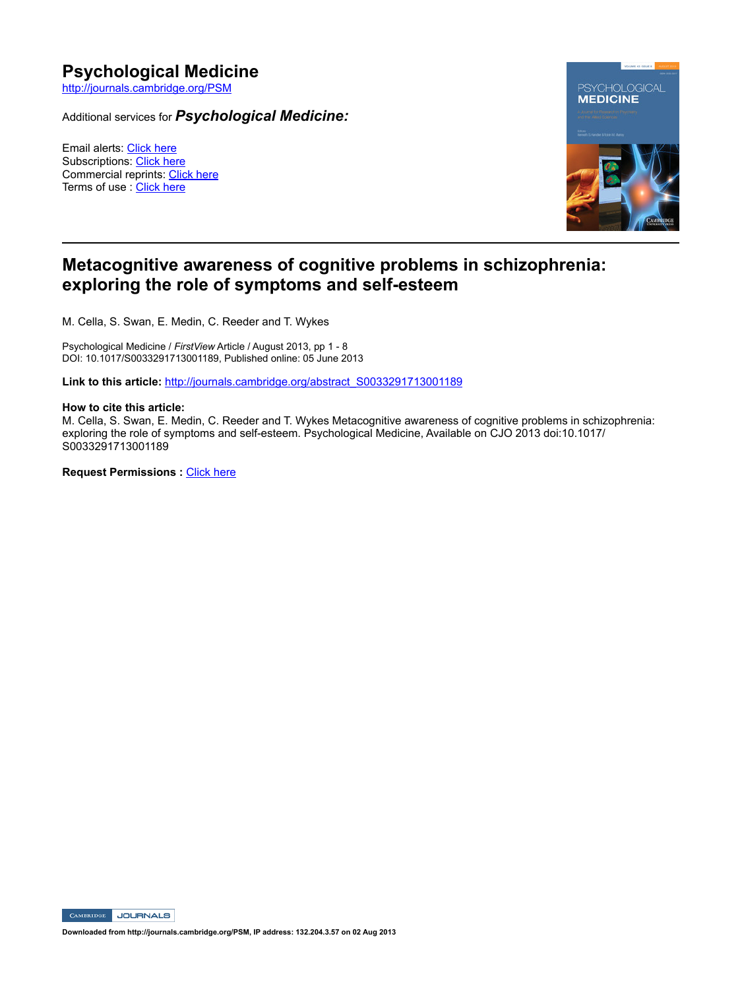# **Psychological Medicine**

http://journals.cambridge.org/PSM

Additional services for *Psychological Medicine:*

Email alerts: Click here Subscriptions: Click here Commercial reprints: Click here Terms of use : Click here



## **Metacognitive awareness of cognitive problems in schizophrenia:**  exploring the role of symptoms and self-esteem

M. Cella, S. Swan, E. Medin, C. Reeder and T. Wykes

Psychological Medicine / *FirstView* Article / August 2013, pp 1 - 8 DOI: 10.1017/S0033291713001189, Published online: 05 June 2013

Link to this article: http://journals.cambridge.org/abstract\_S0033291713001189

## **How to cite this article:**

M. Cella, S. Swan, E. Medin, C. Reeder and T. Wykes Metacognitive awareness of cognitive problems in schizophrenia: exploring the role of symptoms and self-esteem. Psychological Medicine, Available on CJO 2013 doi:10.1017/ S0033291713001189

**Request Permissions :** Click here

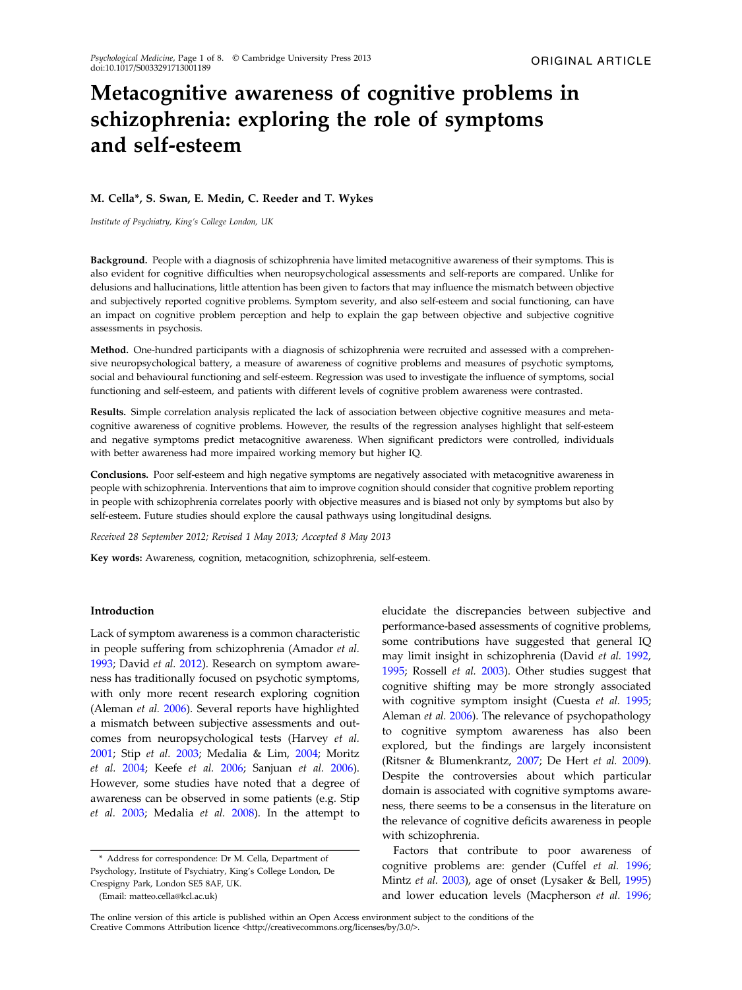# Metacognitive awareness of cognitive problems in schizophrenia: exploring the role of symptoms and self-esteem

## M. Cella\*, S. Swan, E. Medin, C. Reeder and T. Wykes

Institute of Psychiatry, King's College London, UK

Background. People with a diagnosis of schizophrenia have limited metacognitive awareness of their symptoms. This is also evident for cognitive difficulties when neuropsychological assessments and self-reports are compared. Unlike for delusions and hallucinations, little attention has been given to factors that may influence the mismatch between objective and subjectively reported cognitive problems. Symptom severity, and also self-esteem and social functioning, can have an impact on cognitive problem perception and help to explain the gap between objective and subjective cognitive assessments in psychosis.

Method. One-hundred participants with a diagnosis of schizophrenia were recruited and assessed with a comprehensive neuropsychological battery, a measure of awareness of cognitive problems and measures of psychotic symptoms, social and behavioural functioning and self-esteem. Regression was used to investigate the influence of symptoms, social functioning and self-esteem, and patients with different levels of cognitive problem awareness were contrasted.

Results. Simple correlation analysis replicated the lack of association between objective cognitive measures and metacognitive awareness of cognitive problems. However, the results of the regression analyses highlight that self-esteem and negative symptoms predict metacognitive awareness. When significant predictors were controlled, individuals with better awareness had more impaired working memory but higher IQ.

Conclusions. Poor self-esteem and high negative symptoms are negatively associated with metacognitive awareness in people with schizophrenia. Interventions that aim to improve cognition should consider that cognitive problem reporting in people with schizophrenia correlates poorly with objective measures and is biased not only by symptoms but also by self-esteem. Future studies should explore the causal pathways using longitudinal designs.

Received 28 September 2012; Revised 1 May 2013; Accepted 8 May 2013

Key words: Awareness, cognition, metacognition, schizophrenia, self-esteem.

## Introduction

Lack of symptom awareness is a common characteristic in people suffering from schizophrenia (Amador et al. [1993;](#page-6-0) David et al. [2012](#page-7-0)). Research on symptom awareness has traditionally focused on psychotic symptoms, with only more recent research exploring cognition (Aleman et al. [2006\)](#page-6-0). Several reports have highlighted a mismatch between subjective assessments and outcomes from neuropsychological tests (Harvey et al. [2001;](#page-7-0) Stip et al. [2003;](#page-8-0) Medalia & Lim, [2004](#page-7-0); Moritz et al. [2004](#page-7-0); Keefe et al. [2006](#page-7-0); Sanjuan et al. [2006](#page-8-0)). However, some studies have noted that a degree of awareness can be observed in some patients (e.g. Stip et al. [2003;](#page-8-0) Medalia et al. [2008](#page-7-0)). In the attempt to

(Email: matteo.cella@kcl.ac.uk)

elucidate the discrepancies between subjective and performance-based assessments of cognitive problems, some contributions have suggested that general IQ may limit insight in schizophrenia (David et al. [1992](#page-7-0), [1995;](#page-7-0) Rossell et al. [2003\)](#page-8-0). Other studies suggest that cognitive shifting may be more strongly associated with cognitive symptom insight (Cuesta et al. [1995](#page-7-0); Aleman et al. [2006\)](#page-6-0). The relevance of psychopathology to cognitive symptom awareness has also been explored, but the findings are largely inconsistent (Ritsner & Blumenkrantz, [2007;](#page-8-0) De Hert et al. [2009](#page-7-0)). Despite the controversies about which particular domain is associated with cognitive symptoms awareness, there seems to be a consensus in the literature on the relevance of cognitive deficits awareness in people with schizophrenia.

Factors that contribute to poor awareness of cognitive problems are: gender (Cuffel et al. [1996](#page-7-0); Mintz et al. [2003](#page-7-0)), age of onset (Lysaker & Bell, [1995\)](#page-7-0) and lower education levels (Macpherson et al. [1996](#page-7-0);

<sup>\*</sup> Address for correspondence: Dr M. Cella, Department of Psychology, Institute of Psychiatry, King's College London, De Crespigny Park, London SE5 8AF, UK.

The online version of this article is published within an Open Access environment subject to the conditions of the Creative Commons Attribution licence <http://creativecommons.org/licenses/by/3.0/>.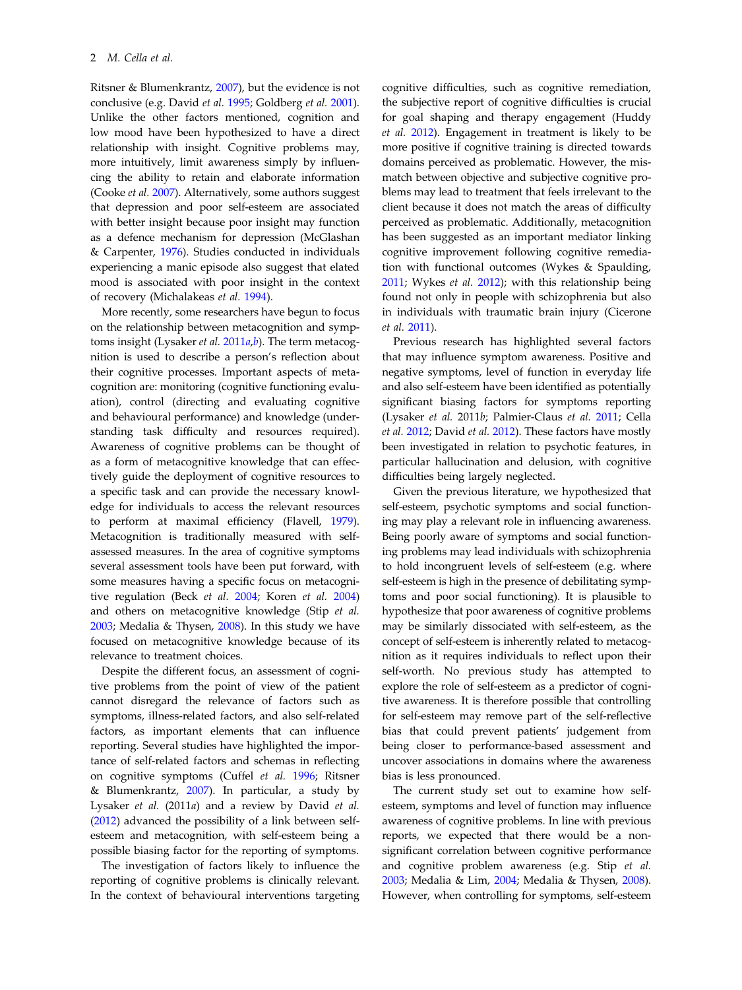Ritsner & Blumenkrantz, [2007](#page-8-0)), but the evidence is not conclusive (e.g. David et al. [1995;](#page-7-0) Goldberg et al. [2001](#page-7-0)). Unlike the other factors mentioned, cognition and low mood have been hypothesized to have a direct relationship with insight. Cognitive problems may, more intuitively, limit awareness simply by influencing the ability to retain and elaborate information (Cooke et al. [2007](#page-7-0)). Alternatively, some authors suggest that depression and poor self-esteem are associated with better insight because poor insight may function as a defence mechanism for depression (McGlashan & Carpenter, [1976\)](#page-7-0). Studies conducted in individuals experiencing a manic episode also suggest that elated mood is associated with poor insight in the context of recovery (Michalakeas et al. [1994](#page-7-0)).

More recently, some researchers have begun to focus on the relationship between metacognition and symptoms insight (Lysaker et al.  $2011a$  $2011a$ ,[b](#page-7-0)). The term metacognition is used to describe a person's reflection about their cognitive processes. Important aspects of metacognition are: monitoring (cognitive functioning evaluation), control (directing and evaluating cognitive and behavioural performance) and knowledge (understanding task difficulty and resources required). Awareness of cognitive problems can be thought of as a form of metacognitive knowledge that can effectively guide the deployment of cognitive resources to a specific task and can provide the necessary knowledge for individuals to access the relevant resources to perform at maximal efficiency (Flavell, [1979](#page-7-0)). Metacognition is traditionally measured with selfassessed measures. In the area of cognitive symptoms several assessment tools have been put forward, with some measures having a specific focus on metacognitive regulation (Beck et al. [2004;](#page-6-0) Koren et al. [2004\)](#page-7-0) and others on metacognitive knowledge (Stip et al. [2003;](#page-8-0) Medalia & Thysen, [2008](#page-7-0)). In this study we have focused on metacognitive knowledge because of its relevance to treatment choices.

Despite the different focus, an assessment of cognitive problems from the point of view of the patient cannot disregard the relevance of factors such as symptoms, illness-related factors, and also self-related factors, as important elements that can influence reporting. Several studies have highlighted the importance of self-related factors and schemas in reflecting on cognitive symptoms (Cuffel et al. [1996;](#page-7-0) Ritsner & Blumenkrantz,  $2007$ ). In particular, a study by Lysaker et al. (2011a) and a review by David et al. ([2012\)](#page-7-0) advanced the possibility of a link between selfesteem and metacognition, with self-esteem being a possible biasing factor for the reporting of symptoms.

The investigation of factors likely to influence the reporting of cognitive problems is clinically relevant. In the context of behavioural interventions targeting

cognitive difficulties, such as cognitive remediation, the subjective report of cognitive difficulties is crucial for goal shaping and therapy engagement (Huddy et al. [2012](#page-7-0)). Engagement in treatment is likely to be more positive if cognitive training is directed towards domains perceived as problematic. However, the mismatch between objective and subjective cognitive problems may lead to treatment that feels irrelevant to the client because it does not match the areas of difficulty perceived as problematic. Additionally, metacognition has been suggested as an important mediator linking cognitive improvement following cognitive remediation with functional outcomes (Wykes & Spaulding, [2011;](#page-8-0) Wykes et al. [2012\)](#page-8-0); with this relationship being found not only in people with schizophrenia but also in individuals with traumatic brain injury (Cicerone et al. [2011\)](#page-6-0).

Previous research has highlighted several factors that may influence symptom awareness. Positive and negative symptoms, level of function in everyday life and also self-esteem have been identified as potentially significant biasing factors for symptoms reporting (Lysaker et al. 2011b; Palmier-Claus et al. [2011](#page-8-0); Cella et al. [2012](#page-6-0); David et al. [2012](#page-7-0)). These factors have mostly been investigated in relation to psychotic features, in particular hallucination and delusion, with cognitive difficulties being largely neglected.

Given the previous literature, we hypothesized that self-esteem, psychotic symptoms and social functioning may play a relevant role in influencing awareness. Being poorly aware of symptoms and social functioning problems may lead individuals with schizophrenia to hold incongruent levels of self-esteem (e.g. where self-esteem is high in the presence of debilitating symptoms and poor social functioning). It is plausible to hypothesize that poor awareness of cognitive problems may be similarly dissociated with self-esteem, as the concept of self-esteem is inherently related to metacognition as it requires individuals to reflect upon their self-worth. No previous study has attempted to explore the role of self-esteem as a predictor of cognitive awareness. It is therefore possible that controlling for self-esteem may remove part of the self-reflective bias that could prevent patients' judgement from being closer to performance-based assessment and uncover associations in domains where the awareness bias is less pronounced.

The current study set out to examine how selfesteem, symptoms and level of function may influence awareness of cognitive problems. In line with previous reports, we expected that there would be a nonsignificant correlation between cognitive performance and cognitive problem awareness (e.g. Stip et al. [2003;](#page-8-0) Medalia & Lim, [2004;](#page-7-0) Medalia & Thysen, [2008](#page-7-0)). However, when controlling for symptoms, self-esteem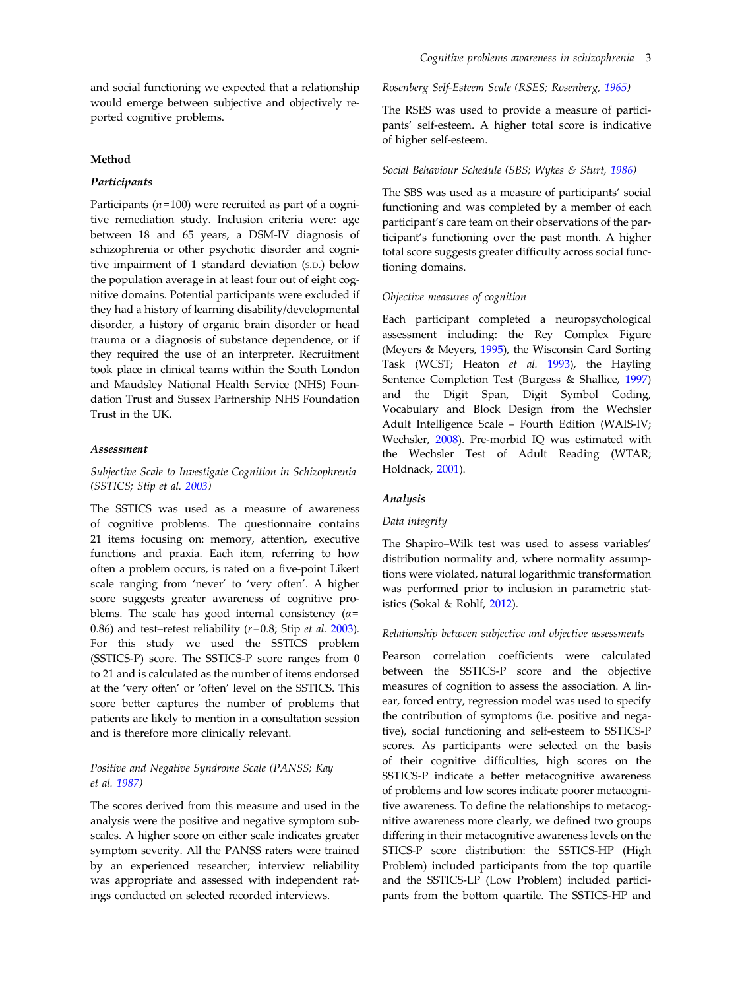and social functioning we expected that a relationship would emerge between subjective and objectively reported cognitive problems.

## Method

## Participants

Participants ( $n=100$ ) were recruited as part of a cognitive remediation study. Inclusion criteria were: age between 18 and 65 years, a DSM-IV diagnosis of schizophrenia or other psychotic disorder and cognitive impairment of 1 standard deviation (S.D.) below the population average in at least four out of eight cognitive domains. Potential participants were excluded if they had a history of learning disability/developmental disorder, a history of organic brain disorder or head trauma or a diagnosis of substance dependence, or if they required the use of an interpreter. Recruitment took place in clinical teams within the South London and Maudsley National Health Service (NHS) Foundation Trust and Sussex Partnership NHS Foundation Trust in the UK.

## Assessment

Subjective Scale to Investigate Cognition in Schizophrenia (SSTICS; Stip et al. [2003\)](#page-8-0)

The SSTICS was used as a measure of awareness of cognitive problems. The questionnaire contains 21 items focusing on: memory, attention, executive functions and praxia. Each item, referring to how often a problem occurs, is rated on a five-point Likert scale ranging from 'never' to 'very often'. A higher score suggests greater awareness of cognitive problems. The scale has good internal consistency ( $\alpha$ = 0.86) and test–retest reliability  $(r=0.8;$  Stip et al. [2003](#page-8-0)). For this study we used the SSTICS problem (SSTICS-P) score. The SSTICS-P score ranges from 0 to 21 and is calculated as the number of items endorsed at the 'very often' or 'often' level on the SSTICS. This score better captures the number of problems that patients are likely to mention in a consultation session and is therefore more clinically relevant.

## Positive and Negative Syndrome Scale (PANSS; Kay et al. [1987\)](#page-7-0)

The scores derived from this measure and used in the analysis were the positive and negative symptom subscales. A higher score on either scale indicates greater symptom severity. All the PANSS raters were trained by an experienced researcher; interview reliability was appropriate and assessed with independent ratings conducted on selected recorded interviews.

## Rosenberg Self-Esteem Scale (RSES; Rosenberg, [1965](#page-8-0))

The RSES was used to provide a measure of participants' self-esteem. A higher total score is indicative of higher self-esteem.

## Social Behaviour Schedule (SBS; Wykes & Sturt, [1986](#page-8-0))

The SBS was used as a measure of participants' social functioning and was completed by a member of each participant's care team on their observations of the participant's functioning over the past month. A higher total score suggests greater difficulty across social functioning domains.

## Objective measures of cognition

Each participant completed a neuropsychological assessment including: the Rey Complex Figure (Meyers & Meyers, [1995\)](#page-7-0), the Wisconsin Card Sorting Task (WCST; Heaton et al. [1993](#page-7-0)), the Hayling Sentence Completion Test (Burgess & Shallice, [1997\)](#page-6-0) and the Digit Span, Digit Symbol Coding, Vocabulary and Block Design from the Wechsler Adult Intelligence Scale – Fourth Edition (WAIS-IV; Wechsler, [2008\)](#page-8-0). Pre-morbid IQ was estimated with the Wechsler Test of Adult Reading (WTAR; Holdnack, [2001\)](#page-7-0).

#### Analysis

#### Data integrity

The Shapiro–Wilk test was used to assess variables' distribution normality and, where normality assumptions were violated, natural logarithmic transformation was performed prior to inclusion in parametric statistics (Sokal & Rohlf, [2012\)](#page-8-0).

## Relationship between subjective and objective assessments

Pearson correlation coefficients were calculated between the SSTICS-P score and the objective measures of cognition to assess the association. A linear, forced entry, regression model was used to specify the contribution of symptoms (i.e. positive and negative), social functioning and self-esteem to SSTICS-P scores. As participants were selected on the basis of their cognitive difficulties, high scores on the SSTICS-P indicate a better metacognitive awareness of problems and low scores indicate poorer metacognitive awareness. To define the relationships to metacognitive awareness more clearly, we defined two groups differing in their metacognitive awareness levels on the STICS-P score distribution: the SSTICS-HP (High Problem) included participants from the top quartile and the SSTICS-LP (Low Problem) included participants from the bottom quartile. The SSTICS-HP and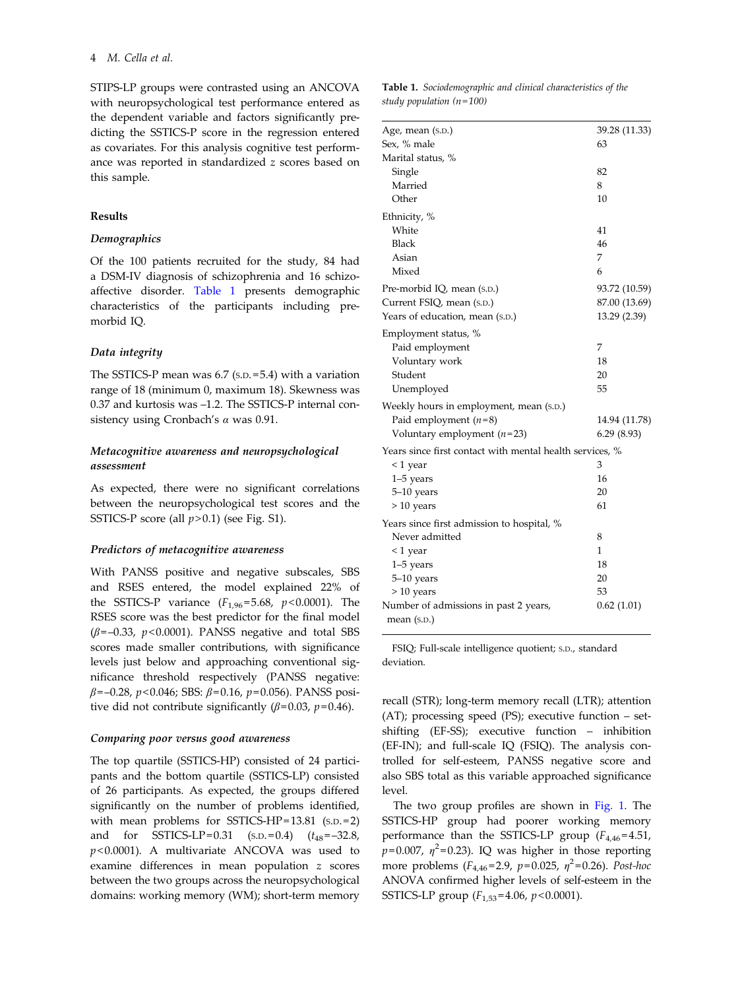STIPS-LP groups were contrasted using an ANCOVA with neuropsychological test performance entered as the dependent variable and factors significantly predicting the SSTICS-P score in the regression entered as covariates. For this analysis cognitive test performance was reported in standardized z scores based on this sample.

## Results

## Demographics

Of the 100 patients recruited for the study, 84 had a DSM-IV diagnosis of schizophrenia and 16 schizoaffective disorder. Table 1 presents demographic characteristics of the participants including premorbid IQ.

## Data integrity

The SSTICS-P mean was 6.7 (S.D. = 5.4) with a variation range of 18 (minimum 0, maximum 18). Skewness was 0.37 and kurtosis was –1.2. The SSTICS-P internal consistency using Cronbach's  $\alpha$  was 0.91.

## Metacognitive awareness and neuropsychological assessment

As expected, there were no significant correlations between the neuropsychological test scores and the SSTICS-P score (all  $p > 0.1$ ) (see Fig. S1).

#### Predictors of metacognitive awareness

With PANSS positive and negative subscales, SBS and RSES entered, the model explained 22% of the SSTICS-P variance  $(F_{1,96} = 5.68, p < 0.0001)$ . The RSES score was the best predictor for the final model  $(\beta = -0.33, p < 0.0001)$ . PANSS negative and total SBS scores made smaller contributions, with significance levels just below and approaching conventional significance threshold respectively (PANSS negative:  $\beta$ =–0.28, p<0.046; SBS:  $\beta$ =0.16, p=0.056). PANSS positive did not contribute significantly ( $\beta$ =0.03, p=0.46).

## Comparing poor versus good awareness

The top quartile (SSTICS-HP) consisted of 24 participants and the bottom quartile (SSTICS-LP) consisted of 26 participants. As expected, the groups differed significantly on the number of problems identified, with mean problems for SSTICS-HP= $13.81$  (s.p.= $2$ ) and for SSTICS-LP=0.31  $(s.D.=0.4)$   $(t_{48}=-32.8,$  $p$ <0.0001). A multivariate ANCOVA was used to examine differences in mean population z scores between the two groups across the neuropsychological domains: working memory (WM); short-term memory

| <b>Table 1.</b> Sociodemographic and clinical characteristics of the |  |  |
|----------------------------------------------------------------------|--|--|
| study population (n=100)                                             |  |  |

| Age, mean (s.p.)                                         | 39.28 (11.33) |
|----------------------------------------------------------|---------------|
| Sex, % male                                              | 63            |
| Marital status, %                                        |               |
| Single                                                   | 82            |
| Married                                                  | 8             |
| Other                                                    | 10            |
| Ethnicity, %                                             |               |
| White                                                    | 41            |
| <b>Black</b>                                             | 46            |
| Asian                                                    | 7             |
| Mixed                                                    | 6             |
| Pre-morbid IQ, mean (s.D.)                               | 93.72 (10.59) |
| Current FSIQ, mean (s.p.)                                | 87.00 (13.69) |
| Years of education, mean (s.p.)                          | 13.29 (2.39)  |
| Employment status, %                                     |               |
| Paid employment                                          | 7             |
| Voluntary work                                           | 18            |
| Student                                                  | 20            |
| Unemployed                                               | 55            |
| Weekly hours in employment, mean (s.p.)                  |               |
| Paid employment $(n=8)$                                  | 14.94 (11.78) |
| Voluntary employment $(n=23)$                            | 6.29(8.93)    |
| Years since first contact with mental health services, % |               |
| <1 year                                                  | 3             |
| $1-5$ years                                              | 16            |
| 5-10 years                                               | 20            |
| $> 10$ years                                             | 61            |
| Years since first admission to hospital, %               |               |
| Never admitted                                           | 8             |
| $<$ 1 year                                               | 1             |
| $1-5$ years                                              | 18            |
| 5-10 years                                               | 20            |
| $> 10$ years                                             | 53            |
| Number of admissions in past 2 years,                    | 0.62(1.01)    |
| mean $(S.D.)$                                            |               |

FSIQ; Full-scale intelligence quotient; S.D., standard deviation.

recall (STR); long-term memory recall (LTR); attention (AT); processing speed (PS); executive function – setshifting (EF-SS); executive function – inhibition (EF-IN); and full-scale IQ (FSIQ). The analysis controlled for self-esteem, PANSS negative score and also SBS total as this variable approached significance level.

The two group profiles are shown in [Fig. 1.](#page-5-0) The SSTICS-HP group had poorer working memory performance than the SSTICS-LP group  $(F_{4,46} = 4.51,$  $p= 0.007$ ,  $\eta^2= 0.23$ ). IQ was higher in those reporting more problems  $(F_{4,46} = 2.9, p = 0.025, \eta^2 = 0.26)$ . Post-hoc ANOVA confirmed higher levels of self-esteem in the SSTICS-LP group  $(F_{1,53} = 4.06, p < 0.0001)$ .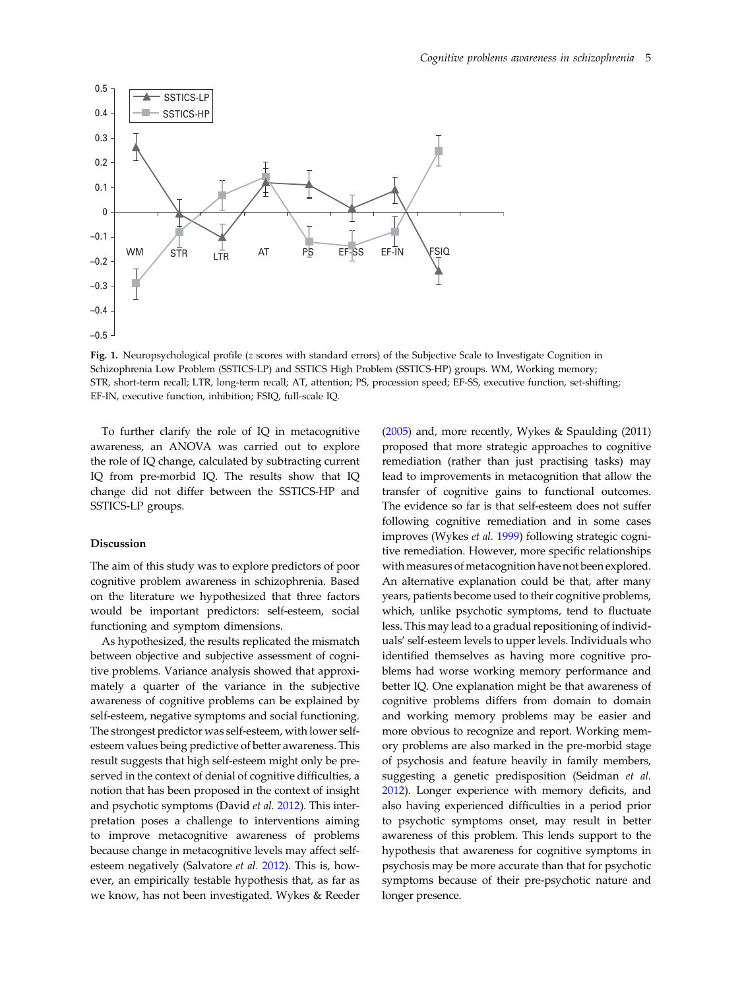<span id="page-5-0"></span>

Fig. 1. Neuropsychological profile (z scores with standard errors) of the Subjective Scale to Investigate Cognition in Schizophrenia Low Problem (SSTICS-LP) and SSTICS High Problem (SSTICS-HP) groups. WM, Working memory; STR, short-term recall; LTR, long-term recall; AT, attention; PS, procession speed; EF-SS, executive function, set-shifting; EF-IN, executive function, inhibition; FSIQ, full-scale IQ.

To further clarify the role of IQ in metacognitive awareness, an ANOVA was carried out to explore the role of IQ change, calculated by subtracting current IQ from pre-morbid IQ. The results show that IQ change did not differ between the SSTICS-HP and SSTICS-LP groups.

#### Discussion

The aim of this study was to explore predictors of poor cognitive problem awareness in schizophrenia. Based on the literature we hypothesized that three factors would be important predictors: self-esteem, social functioning and symptom dimensions.

As hypothesized, the results replicated the mismatch between objective and subjective assessment of cognitive problems. Variance analysis showed that approximately a quarter of the variance in the subjective awareness of cognitive problems can be explained by self-esteem, negative symptoms and social functioning. The strongest predictor was self-esteem, with lower selfesteem values being predictive of better awareness. This result suggests that high self-esteem might only be preserved in the context of denial of cognitive difficulties, a notion that has been proposed in the context of insight and psychotic symptoms (David et al. [2012\)](#page-7-0). This interpretation poses a challenge to interventions aiming to improve metacognitive awareness of problems because change in metacognitive levels may affect selfesteem negatively (Salvatore et al. [2012](#page-8-0)). This is, however, an empirically testable hypothesis that, as far as we know, has not been investigated. Wykes & Reeder

([2005\)](#page-8-0) and, more recently, Wykes & Spaulding (2011) proposed that more strategic approaches to cognitive remediation (rather than just practising tasks) may lead to improvements in metacognition that allow the transfer of cognitive gains to functional outcomes. The evidence so far is that self-esteem does not suffer following cognitive remediation and in some cases improves (Wykes et al. [1999\)](#page-8-0) following strategic cognitive remediation. However, more specific relationships with measures of metacognition have not been explored. An alternative explanation could be that, after many years, patients become used to their cognitive problems, which, unlike psychotic symptoms, tend to fluctuate less. This may lead to a gradual repositioning of individuals' self-esteem levels to upper levels. Individuals who identified themselves as having more cognitive problems had worse working memory performance and better IQ. One explanation might be that awareness of cognitive problems differs from domain to domain and working memory problems may be easier and more obvious to recognize and report. Working memory problems are also marked in the pre-morbid stage of psychosis and feature heavily in family members, suggesting a genetic predisposition (Seidman et al. [2012\)](#page-8-0). Longer experience with memory deficits, and also having experienced difficulties in a period prior to psychotic symptoms onset, may result in better awareness of this problem. This lends support to the hypothesis that awareness for cognitive symptoms in psychosis may be more accurate than that for psychotic symptoms because of their pre-psychotic nature and longer presence.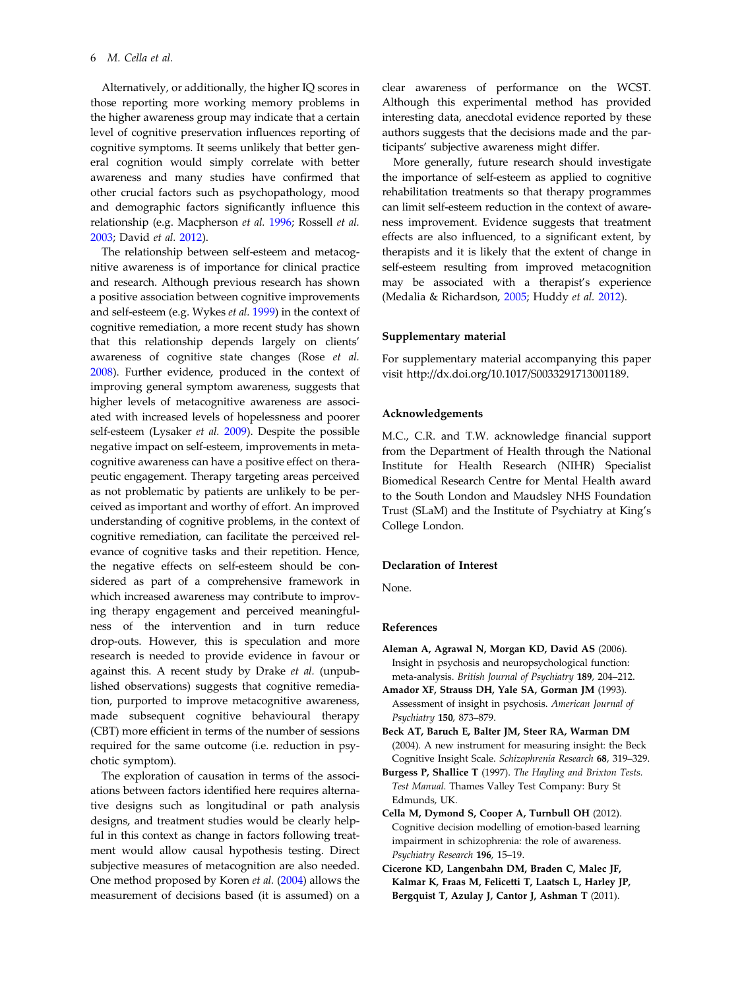<span id="page-6-0"></span>Alternatively, or additionally, the higher IQ scores in those reporting more working memory problems in the higher awareness group may indicate that a certain level of cognitive preservation influences reporting of cognitive symptoms. It seems unlikely that better general cognition would simply correlate with better awareness and many studies have confirmed that other crucial factors such as psychopathology, mood and demographic factors significantly influence this relationship (e.g. Macpherson et al. [1996](#page-7-0); Rossell et al. [2003;](#page-8-0) David et al. [2012](#page-7-0)).

The relationship between self-esteem and metacognitive awareness is of importance for clinical practice and research. Although previous research has shown a positive association between cognitive improvements and self-esteem (e.g. Wykes et al. [1999\)](#page-8-0) in the context of cognitive remediation, a more recent study has shown that this relationship depends largely on clients' awareness of cognitive state changes (Rose et al. [2008\)](#page-8-0). Further evidence, produced in the context of improving general symptom awareness, suggests that higher levels of metacognitive awareness are associated with increased levels of hopelessness and poorer self-esteem (Lysaker et al. [2009](#page-7-0)). Despite the possible negative impact on self-esteem, improvements in metacognitive awareness can have a positive effect on therapeutic engagement. Therapy targeting areas perceived as not problematic by patients are unlikely to be perceived as important and worthy of effort. An improved understanding of cognitive problems, in the context of cognitive remediation, can facilitate the perceived relevance of cognitive tasks and their repetition. Hence, the negative effects on self-esteem should be considered as part of a comprehensive framework in which increased awareness may contribute to improving therapy engagement and perceived meaningfulness of the intervention and in turn reduce drop-outs. However, this is speculation and more research is needed to provide evidence in favour or against this. A recent study by Drake et al. (unpublished observations) suggests that cognitive remediation, purported to improve metacognitive awareness, made subsequent cognitive behavioural therapy (CBT) more efficient in terms of the number of sessions required for the same outcome (i.e. reduction in psychotic symptom).

The exploration of causation in terms of the associations between factors identified here requires alternative designs such as longitudinal or path analysis designs, and treatment studies would be clearly helpful in this context as change in factors following treatment would allow causal hypothesis testing. Direct subjective measures of metacognition are also needed. One method proposed by Koren et al. [\(2004](#page-7-0)) allows the measurement of decisions based (it is assumed) on a clear awareness of performance on the WCST. Although this experimental method has provided interesting data, anecdotal evidence reported by these authors suggests that the decisions made and the participants' subjective awareness might differ.

More generally, future research should investigate the importance of self-esteem as applied to cognitive rehabilitation treatments so that therapy programmes can limit self-esteem reduction in the context of awareness improvement. Evidence suggests that treatment effects are also influenced, to a significant extent, by therapists and it is likely that the extent of change in self-esteem resulting from improved metacognition may be associated with a therapist's experience (Medalia & Richardson, [2005;](#page-7-0) Huddy et al. [2012](#page-7-0)).

## Supplementary material

For supplementary material accompanying this paper visit http://dx.doi.org/10.1017/S0033291713001189.

## Acknowledgements

M.C., C.R. and T.W. acknowledge financial support from the Department of Health through the National Institute for Health Research (NIHR) Specialist Biomedical Research Centre for Mental Health award to the South London and Maudsley NHS Foundation Trust (SLaM) and the Institute of Psychiatry at King's College London.

## Declaration of Interest

None.

## References

- Aleman A, Agrawal N, Morgan KD, David AS (2006). Insight in psychosis and neuropsychological function: meta-analysis. British Journal of Psychiatry 189, 204–212.
- Amador XF, Strauss DH, Yale SA, Gorman JM (1993). Assessment of insight in psychosis. American Journal of Psychiatry 150, 873–879.
- Beck AT, Baruch E, Balter JM, Steer RA, Warman DM (2004). A new instrument for measuring insight: the Beck Cognitive Insight Scale. Schizophrenia Research 68, 319–329.
- Burgess P, Shallice T (1997). The Hayling and Brixton Tests. Test Manual. Thames Valley Test Company: Bury St Edmunds, UK.
- Cella M, Dymond S, Cooper A, Turnbull OH (2012). Cognitive decision modelling of emotion-based learning impairment in schizophrenia: the role of awareness. Psychiatry Research 196, 15–19.
- Cicerone KD, Langenbahn DM, Braden C, Malec JF, Kalmar K, Fraas M, Felicetti T, Laatsch L, Harley JP, Bergquist T, Azulay J, Cantor J, Ashman T (2011).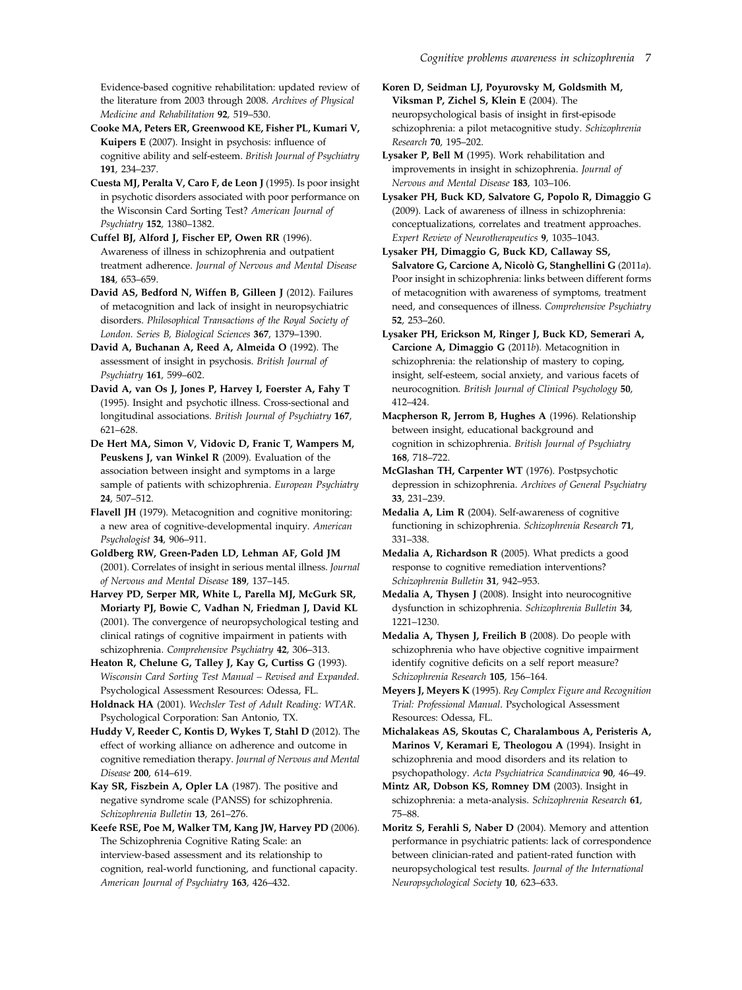<span id="page-7-0"></span>Evidence-based cognitive rehabilitation: updated review of the literature from 2003 through 2008. Archives of Physical Medicine and Rehabilitation 92, 519–530.

Cooke MA, Peters ER, Greenwood KE, Fisher PL, Kumari V, Kuipers E (2007). Insight in psychosis: influence of cognitive ability and self-esteem. British Journal of Psychiatry 191, 234–237.

Cuesta MJ, Peralta V, Caro F, de Leon J (1995). Is poor insight in psychotic disorders associated with poor performance on the Wisconsin Card Sorting Test? American Journal of Psychiatry 152, 1380–1382.

Cuffel BJ, Alford J, Fischer EP, Owen RR (1996). Awareness of illness in schizophrenia and outpatient treatment adherence. Journal of Nervous and Mental Disease 184, 653–659.

David AS, Bedford N, Wiffen B, Gilleen J (2012). Failures of metacognition and lack of insight in neuropsychiatric disorders. Philosophical Transactions of the Royal Society of London. Series B, Biological Sciences 367, 1379–1390.

David A, Buchanan A, Reed A, Almeida O (1992). The assessment of insight in psychosis. British Journal of Psychiatry 161, 599–602.

David A, van Os J, Jones P, Harvey I, Foerster A, Fahy T (1995). Insight and psychotic illness. Cross-sectional and longitudinal associations. British Journal of Psychiatry 167, 621–628.

De Hert MA, Simon V, Vidovic D, Franic T, Wampers M, Peuskens J, van Winkel R (2009). Evaluation of the association between insight and symptoms in a large sample of patients with schizophrenia. European Psychiatry 24, 507–512.

Flavell JH (1979). Metacognition and cognitive monitoring: a new area of cognitive-developmental inquiry. American Psychologist 34, 906–911.

Goldberg RW, Green-Paden LD, Lehman AF, Gold JM (2001). Correlates of insight in serious mental illness. Journal of Nervous and Mental Disease 189, 137–145.

Harvey PD, Serper MR, White L, Parella MJ, McGurk SR, Moriarty PJ, Bowie C, Vadhan N, Friedman J, David KL (2001). The convergence of neuropsychological testing and clinical ratings of cognitive impairment in patients with schizophrenia. Comprehensive Psychiatry 42, 306–313.

Heaton R, Chelune G, Talley J, Kay G, Curtiss G (1993). Wisconsin Card Sorting Test Manual – Revised and Expanded. Psychological Assessment Resources: Odessa, FL.

Holdnack HA (2001). Wechsler Test of Adult Reading: WTAR. Psychological Corporation: San Antonio, TX.

Huddy V, Reeder C, Kontis D, Wykes T, Stahl D (2012). The effect of working alliance on adherence and outcome in cognitive remediation therapy. Journal of Nervous and Mental Disease 200, 614–619.

Kay SR, Fiszbein A, Opler LA (1987). The positive and negative syndrome scale (PANSS) for schizophrenia. Schizophrenia Bulletin 13, 261–276.

Keefe RSE, Poe M, Walker TM, Kang JW, Harvey PD (2006). The Schizophrenia Cognitive Rating Scale: an interview-based assessment and its relationship to cognition, real-world functioning, and functional capacity. American Journal of Psychiatry 163, 426–432.

Koren D, Seidman LJ, Poyurovsky M, Goldsmith M, Viksman P, Zichel S, Klein E (2004). The neuropsychological basis of insight in first-episode schizophrenia: a pilot metacognitive study. Schizophrenia Research 70, 195–202.

Lysaker P, Bell M (1995). Work rehabilitation and improvements in insight in schizophrenia. Journal of Nervous and Mental Disease 183, 103–106.

Lysaker PH, Buck KD, Salvatore G, Popolo R, Dimaggio G (2009). Lack of awareness of illness in schizophrenia: conceptualizations, correlates and treatment approaches. Expert Review of Neurotherapeutics 9, 1035–1043.

Lysaker PH, Dimaggio G, Buck KD, Callaway SS, Salvatore G, Carcione A, Nicolò G, Stanghellini G (2011a). Poor insight in schizophrenia: links between different forms of metacognition with awareness of symptoms, treatment need, and consequences of illness. Comprehensive Psychiatry 52, 253–260.

Lysaker PH, Erickson M, Ringer J, Buck KD, Semerari A, Carcione A, Dimaggio G (2011b). Metacognition in schizophrenia: the relationship of mastery to coping, insight, self-esteem, social anxiety, and various facets of neurocognition. British Journal of Clinical Psychology 50, 412–424.

Macpherson R, Jerrom B, Hughes A (1996). Relationship between insight, educational background and cognition in schizophrenia. British Journal of Psychiatry 168, 718–722.

McGlashan TH, Carpenter WT (1976). Postpsychotic depression in schizophrenia. Archives of General Psychiatry 33, 231–239.

Medalia A, Lim R (2004). Self-awareness of cognitive functioning in schizophrenia. Schizophrenia Research 71, 331–338.

Medalia A, Richardson R (2005). What predicts a good response to cognitive remediation interventions? Schizophrenia Bulletin 31, 942–953.

Medalia A, Thysen J (2008). Insight into neurocognitive dysfunction in schizophrenia. Schizophrenia Bulletin 34, 1221–1230.

Medalia A, Thysen J, Freilich B (2008). Do people with schizophrenia who have objective cognitive impairment identify cognitive deficits on a self report measure? Schizophrenia Research 105, 156–164.

Meyers J, Meyers K (1995). Rey Complex Figure and Recognition Trial: Professional Manual. Psychological Assessment Resources: Odessa, FL.

Michalakeas AS, Skoutas C, Charalambous A, Peristeris A, Marinos V, Keramari E, Theologou A (1994). Insight in schizophrenia and mood disorders and its relation to psychopathology. Acta Psychiatrica Scandinavica 90, 46–49.

Mintz AR, Dobson KS, Romney DM (2003). Insight in schizophrenia: a meta-analysis. Schizophrenia Research 61, 75–88.

Moritz S, Ferahli S, Naber D (2004). Memory and attention performance in psychiatric patients: lack of correspondence between clinician-rated and patient-rated function with neuropsychological test results. Journal of the International Neuropsychological Society 10, 623–633.